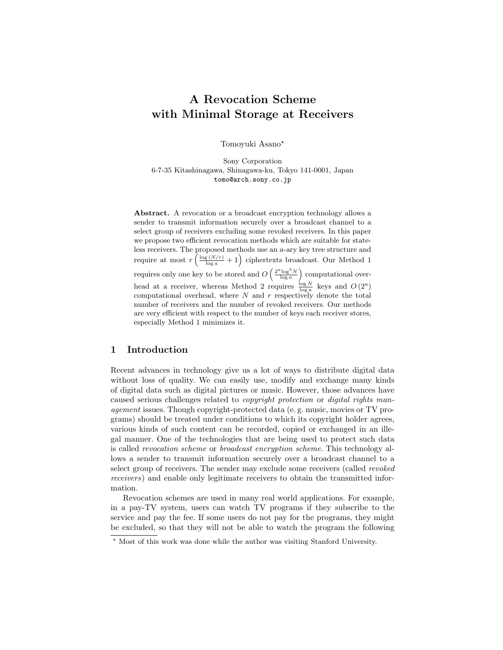# A Revocation Scheme with Minimal Storage at Receivers

Tomoyuki Asano?

Sony Corporation 6-7-35 Kitashinagawa, Shinagawa-ku, Tokyo 141-0001, Japan tomo@arch.sony.co.jp

Abstract. A revocation or a broadcast encryption technology allows a sender to transmit information securely over a broadcast channel to a select group of receivers excluding some revoked receivers. In this paper we propose two efficient revocation methods which are suitable for stateless receivers. The proposed methods use an a-ary key tree structure and require at most  $r\left(\frac{\log(N/r)}{\log a}+1\right)$  ciphertexts broadcast. Our Method 1 requires only one key to be stored and  $O\left(\frac{2^{a}\log^{5}N}{\log a}\right)$  computational overhead at a receiver, whereas Method 2 requires  $\frac{\log N}{\log a}$  keys and  $O(2^a)$ computational overhead, where  $N$  and  $r$  respectively denote the total number of receivers and the number of revoked receivers. Our methods are very efficient with respect to the number of keys each receiver stores, especially Method 1 minimizes it.

# 1 Introduction

Recent advances in technology give us a lot of ways to distribute digital data without loss of quality. We can easily use, modify and exchange many kinds of digital data such as digital pictures or music. However, those advances have caused serious challenges related to copyright protection or digital rights management issues. Though copyright-protected data (e. g. music, movies or TV programs) should be treated under conditions to which its copyright holder agrees, various kinds of such content can be recorded, copied or exchanged in an illegal manner. One of the technologies that are being used to protect such data is called revocation scheme or broadcast encryption scheme. This technology allows a sender to transmit information securely over a broadcast channel to a select group of receivers. The sender may exclude some receivers (called *revoked* receivers) and enable only legitimate receivers to obtain the transmitted information.

Revocation schemes are used in many real world applications. For example, in a pay-TV system, users can watch TV programs if they subscribe to the service and pay the fee. If some users do not pay for the programs, they might be excluded, so that they will not be able to watch the program the following

<sup>?</sup> Most of this work was done while the author was visiting Stanford University.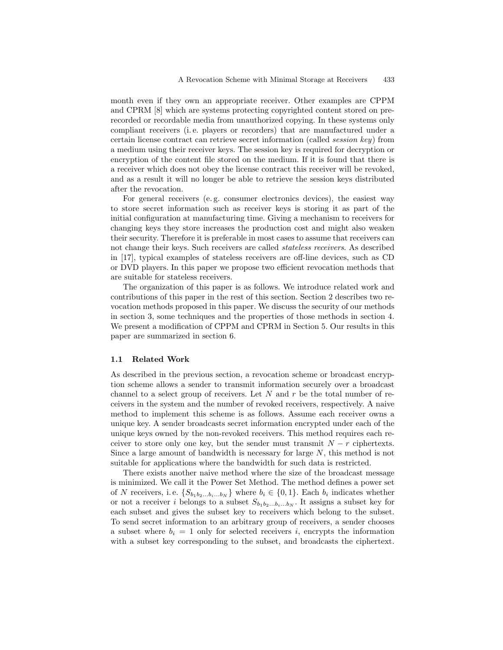month even if they own an appropriate receiver. Other examples are CPPM and CPRM [8] which are systems protecting copyrighted content stored on prerecorded or recordable media from unauthorized copying. In these systems only compliant receivers (i. e. players or recorders) that are manufactured under a certain license contract can retrieve secret information (called session key) from a medium using their receiver keys. The session key is required for decryption or encryption of the content file stored on the medium. If it is found that there is a receiver which does not obey the license contract this receiver will be revoked, and as a result it will no longer be able to retrieve the session keys distributed after the revocation.

For general receivers (e. g. consumer electronics devices), the easiest way to store secret information such as receiver keys is storing it as part of the initial configuration at manufacturing time. Giving a mechanism to receivers for changing keys they store increases the production cost and might also weaken their security. Therefore it is preferable in most cases to assume that receivers can not change their keys. Such receivers are called stateless receivers. As described in [17], typical examples of stateless receivers are off-line devices, such as CD or DVD players. In this paper we propose two efficient revocation methods that are suitable for stateless receivers.

The organization of this paper is as follows. We introduce related work and contributions of this paper in the rest of this section. Section 2 describes two revocation methods proposed in this paper. We discuss the security of our methods in section 3, some techniques and the properties of those methods in section 4. We present a modification of CPPM and CPRM in Section 5. Our results in this paper are summarized in section 6.

#### 1.1 Related Work

As described in the previous section, a revocation scheme or broadcast encryption scheme allows a sender to transmit information securely over a broadcast channel to a select group of receivers. Let  $N$  and  $r$  be the total number of receivers in the system and the number of revoked receivers, respectively. A naive method to implement this scheme is as follows. Assume each receiver owns a unique key. A sender broadcasts secret information encrypted under each of the unique keys owned by the non-revoked receivers. This method requires each receiver to store only one key, but the sender must transmit  $N - r$  ciphertexts. Since a large amount of bandwidth is necessary for large N, this method is not suitable for applications where the bandwidth for such data is restricted.

There exists another naive method where the size of the broadcast message is minimized. We call it the Power Set Method. The method defines a power set of N receivers, i.e.  $\{S_{b_1b_2...b_i...b_N}\}$  where  $b_i \in \{0,1\}$ . Each  $b_i$  indicates whether or not a receiver i belongs to a subset  $S_{b_1b_2...b_i...b_N}$ . It assigns a subset key for each subset and gives the subset key to receivers which belong to the subset. To send secret information to an arbitrary group of receivers, a sender chooses a subset where  $b_i = 1$  only for selected receivers i, encrypts the information with a subset key corresponding to the subset, and broadcasts the ciphertext.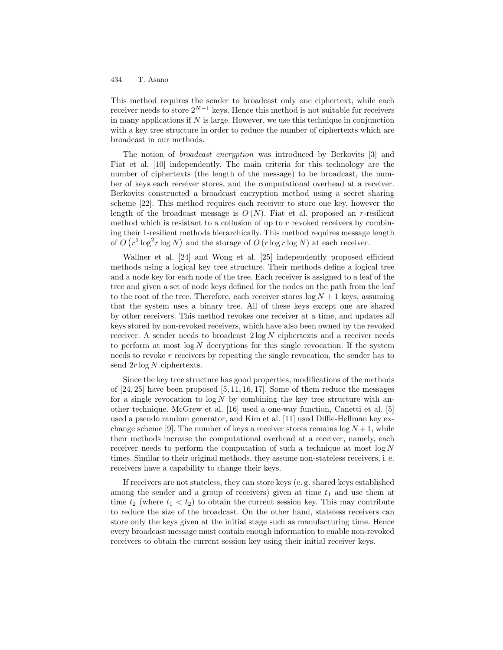This method requires the sender to broadcast only one ciphertext, while each receiver needs to store  $2^{N-1}$  keys. Hence this method is not suitable for receivers in many applications if  $N$  is large. However, we use this technique in conjunction with a key tree structure in order to reduce the number of ciphertexts which are broadcast in our methods.

The notion of broadcast encryption was introduced by Berkovits [3] and Fiat et al. [10] independently. The main criteria for this technology are the number of ciphertexts (the length of the message) to be broadcast, the number of keys each receiver stores, and the computational overhead at a receiver. Berkovits constructed a broadcast encryption method using a secret sharing scheme [22]. This method requires each receiver to store one key, however the length of the broadcast message is  $O(N)$ . Fiat et al. proposed an r-resilient method which is resistant to a collusion of up to r revoked receivers by combining their 1-resilient methods hierarchically. This method requires message length of  $O(r^2 \log^2 r \log N)$  and the storage of  $O(r \log r \log N)$  at each receiver.

Wallner et al. [24] and Wong et al. [25] independently proposed efficient methods using a logical key tree structure. Their methods define a logical tree and a node key for each node of the tree. Each receiver is assigned to a leaf of the tree and given a set of node keys defined for the nodes on the path from the leaf to the root of the tree. Therefore, each receiver stores  $\log N + 1$  keys, assuming that the system uses a binary tree. All of these keys except one are shared by other receivers. This method revokes one receiver at a time, and updates all keys stored by non-revoked receivers, which have also been owned by the revoked receiver. A sender needs to broadcast  $2 \log N$  ciphertexts and a receiver needs to perform at most  $\log N$  decryptions for this single revocation. If the system needs to revoke r receivers by repeating the single revocation, the sender has to send  $2r \log N$  ciphertexts.

Since the key tree structure has good properties, modifications of the methods of  $[24, 25]$  have been proposed  $[5, 11, 16, 17]$ . Some of them reduce the messages for a single revocation to  $\log N$  by combining the key tree structure with another technique. McGrew et al. [16] used a one-way function, Canetti et al. [5] used a pseudo random generator, and Kim et al. [11] used Diffie-Hellman key exchange scheme [9]. The number of keys a receiver stores remains  $\log N + 1$ , while their methods increase the computational overhead at a receiver, namely, each receiver needs to perform the computation of such a technique at most  $\log N$ times. Similar to their original methods, they assume non-stateless receivers, i. e. receivers have a capability to change their keys.

If receivers are not stateless, they can store keys (e. g. shared keys established among the sender and a group of receivers) given at time  $t_1$  and use them at time  $t_2$  (where  $t_1 < t_2$ ) to obtain the current session key. This may contribute to reduce the size of the broadcast. On the other hand, stateless receivers can store only the keys given at the initial stage such as manufacturing time. Hence every broadcast message must contain enough information to enable non-revoked receivers to obtain the current session key using their initial receiver keys.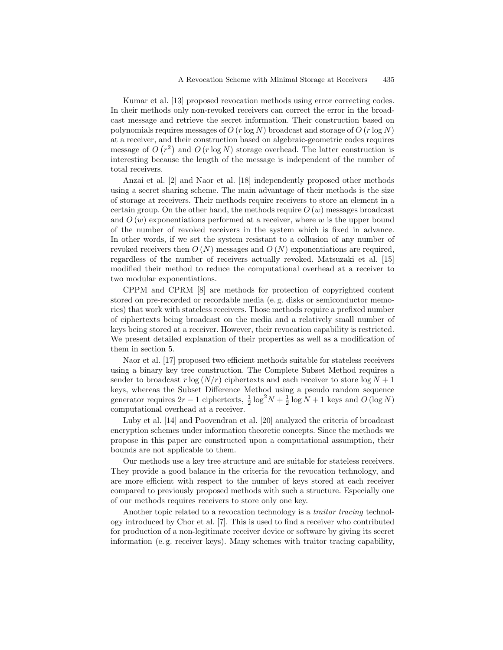Kumar et al. [13] proposed revocation methods using error correcting codes. In their methods only non-revoked receivers can correct the error in the broadcast message and retrieve the secret information. Their construction based on polynomials requires messages of  $O(r \log N)$  broadcast and storage of  $O(r \log N)$ at a receiver, and their construction based on algebraic-geometric codes requires message of  $O(r^2)$  and  $O(r \log N)$  storage overhead. The latter construction is interesting because the length of the message is independent of the number of total receivers.

Anzai et al. [2] and Naor et al. [18] independently proposed other methods using a secret sharing scheme. The main advantage of their methods is the size of storage at receivers. Their methods require receivers to store an element in a certain group. On the other hand, the methods require  $O(w)$  messages broadcast and  $O(w)$  exponentiations performed at a receiver, where w is the upper bound of the number of revoked receivers in the system which is fixed in advance. In other words, if we set the system resistant to a collusion of any number of revoked receivers then  $O(N)$  messages and  $O(N)$  exponentiations are required, regardless of the number of receivers actually revoked. Matsuzaki et al. [15] modified their method to reduce the computational overhead at a receiver to two modular exponentiations.

CPPM and CPRM [8] are methods for protection of copyrighted content stored on pre-recorded or recordable media (e. g. disks or semiconductor memories) that work with stateless receivers. Those methods require a prefixed number of ciphertexts being broadcast on the media and a relatively small number of keys being stored at a receiver. However, their revocation capability is restricted. We present detailed explanation of their properties as well as a modification of them in section 5.

Naor et al. [17] proposed two efficient methods suitable for stateless receivers using a binary key tree construction. The Complete Subset Method requires a sender to broadcast  $r \log(N/r)$  ciphertexts and each receiver to store  $\log N + 1$ keys, whereas the Subset Difference Method using a pseudo random sequence generator requires  $2r - 1$  ciphertexts,  $\frac{1}{2} \log^2 N + \frac{1}{2} \log N + 1$  keys and  $O(\log N)$ computational overhead at a receiver.

Luby et al. [14] and Poovendran et al. [20] analyzed the criteria of broadcast encryption schemes under information theoretic concepts. Since the methods we propose in this paper are constructed upon a computational assumption, their bounds are not applicable to them.

Our methods use a key tree structure and are suitable for stateless receivers. They provide a good balance in the criteria for the revocation technology, and are more efficient with respect to the number of keys stored at each receiver compared to previously proposed methods with such a structure. Especially one of our methods requires receivers to store only one key.

Another topic related to a revocation technology is a traitor tracing technology introduced by Chor et al. [7]. This is used to find a receiver who contributed for production of a non-legitimate receiver device or software by giving its secret information (e. g. receiver keys). Many schemes with traitor tracing capability,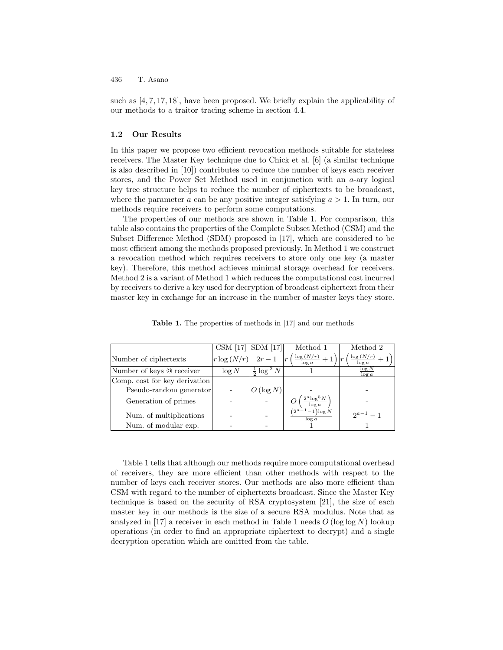such as [4, 7, 17, 18], have been proposed. We briefly explain the applicability of our methods to a traitor tracing scheme in section 4.4.

# 1.2 Our Results

In this paper we propose two efficient revocation methods suitable for stateless receivers. The Master Key technique due to Chick et al. [6] (a similar technique is also described in [10]) contributes to reduce the number of keys each receiver stores, and the Power Set Method used in conjunction with an  $a$ -ary logical key tree structure helps to reduce the number of ciphertexts to be broadcast, where the parameter a can be any positive integer satisfying  $a > 1$ . In turn, our methods require receivers to perform some computations.

The properties of our methods are shown in Table 1. For comparison, this table also contains the properties of the Complete Subset Method (CSM) and the Subset Difference Method (SDM) proposed in [17], which are considered to be most efficient among the methods proposed previously. In Method 1 we construct a revocation method which requires receivers to store only one key (a master key). Therefore, this method achieves minimal storage overhead for receivers. Method 2 is a variant of Method 1 which reduces the computational cost incurred by receivers to derive a key used for decryption of broadcast ciphertext from their master key in exchange for an increase in the number of master keys they store.

|                                                          | CSM [17        | SDM                            | Method 1                                 | Method 2                |
|----------------------------------------------------------|----------------|--------------------------------|------------------------------------------|-------------------------|
| Number of ciphertexts                                    | $r \log (N/r)$ | $2r-1$                         | $\log (N/r)$<br>$\mathbf{r}$<br>$\log a$ | $\log(N/r)$<br>$\log a$ |
| Number of keys @ receiver                                | $\log N$       | $rac{1}{2}$ log <sup>2</sup> N |                                          | log N<br>$\log a$       |
| Comp. cost for key derivation<br>Pseudo-random generator |                | $IO(\log N)$                   |                                          |                         |
| Generation of primes                                     |                |                                | $2^a \log^5 N$<br>log a                  |                         |
| Num. of multiplications                                  |                |                                | $(2^{a-1}-1)\log N$<br>log a             | $2^{a-1}$               |
| Num. of modular exp.                                     |                |                                |                                          |                         |

Table 1. The properties of methods in [17] and our methods

Table 1 tells that although our methods require more computational overhead of receivers, they are more efficient than other methods with respect to the number of keys each receiver stores. Our methods are also more efficient than CSM with regard to the number of ciphertexts broadcast. Since the Master Key technique is based on the security of RSA cryptosystem [21], the size of each master key in our methods is the size of a secure RSA modulus. Note that as analyzed in [17] a receiver in each method in Table 1 needs  $O(\log \log N)$  lookup operations (in order to find an appropriate ciphertext to decrypt) and a single decryption operation which are omitted from the table.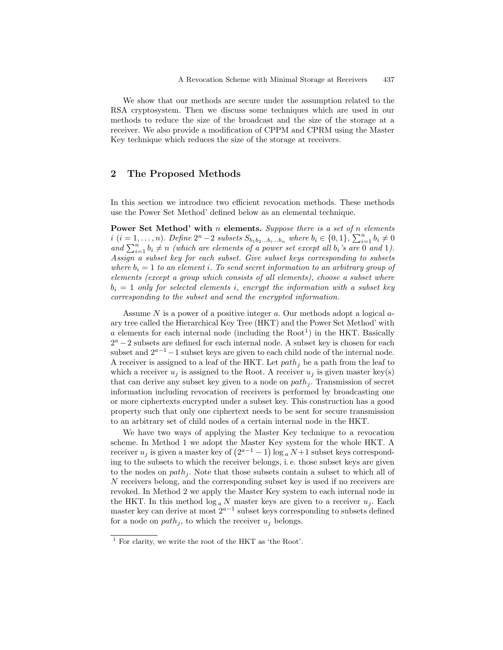We show that our methods are secure under the assumption related to the RSA cryptosystem. Then we discuss some techniques which are used in our methods to reduce the size of the broadcast and the size of the storage at a receiver. We also provide a modification of CPPM and CPRM using the Master Key technique which reduces the size of the storage at receivers.

# 2 The Proposed Methods

In this section we introduce two efficient revocation methods. These methods use the Power Set Method' defined below as an elemental technique.

**Power Set Method' with**  $n$  **elements.** Suppose there is a set of  $n$  elements  $i (i = 1, ..., n)$ . Define  $2^n - 2$  subsets  $S_{b_1 b_2 ... b_i ... b_n}$  where  $b_i \in \{0, 1\}$ ,  $\sum_{i=1}^n b_i \neq 0$ and  $\sum_{i=1}^{n} b_i \neq n$  (which are elements of a power set except all  $b_i$ 's are 0 and 1). Assign a subset key for each subset. Give subset keys corresponding to subsets where  $b_i = 1$  to an element i. To send secret information to an arbitrary group of elements (except a group which consists of all elements), choose a subset where  $b_i = 1$  only for selected elements i, encrypt the information with a subset key corresponding to the subset and send the encrypted information.

Assume N is a power of a positive integer a. Our methods adopt a logical aary tree called the Hierarchical Key Tree (HKT) and the Power Set Method' with  $a$  elements for each internal node (including the Root<sup>1</sup>) in the HKT. Basically  $2^a - 2$  subsets are defined for each internal node. A subset key is chosen for each subset and  $2^{a-1}-1$  subset keys are given to each child node of the internal node. A receiver is assigned to a leaf of the HKT. Let  $path_j$  be a path from the leaf to which a receiver  $u_j$  is assigned to the Root. A receiver  $u_j$  is given master key(s) that can derive any subset key given to a node on  $path<sub>i</sub>$ . Transmission of secret information including revocation of receivers is performed by broadcasting one or more ciphertexts encrypted under a subset key. This construction has a good property such that only one ciphertext needs to be sent for secure transmission to an arbitrary set of child nodes of a certain internal node in the HKT.

We have two ways of applying the Master Key technique to a revocation scheme. In Method 1 we adopt the Master Key system for the whole HKT. A receiver  $u_j$  is given a master key of  $(2^{a-1}-1) \log_a N+1$  subset keys corresponding to the subsets to which the receiver belongs, i. e. those subset keys are given to the nodes on  $path_i$ . Note that those subsets contain a subset to which all of N receivers belong, and the corresponding subset key is used if no receivers are revoked. In Method 2 we apply the Master Key system to each internal node in the HKT. In this method  $\log_a N$  master keys are given to a receiver  $u_i$ . Each master key can derive at most  $2^{a-1}$  subset keys corresponding to subsets defined for a node on  $path_i$ , to which the receiver  $u_i$  belongs.

<sup>1</sup> For clarity, we write the root of the HKT as 'the Root'.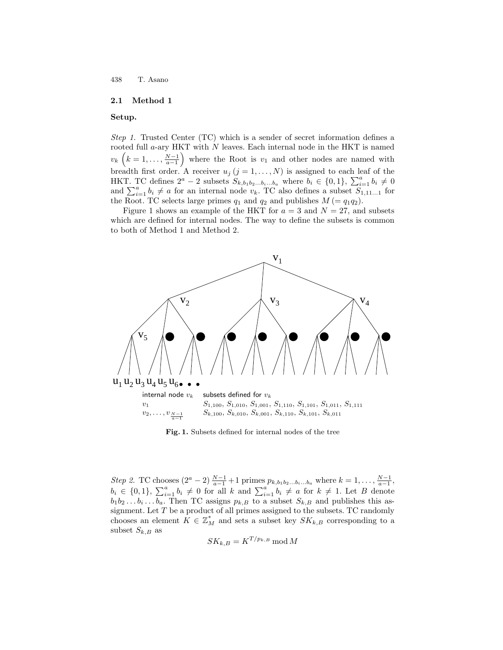#### 2.1 Method 1

#### Setup.

Step 1. Trusted Center (TC) which is a sender of secret information defines a rooted full a-ary HKT with N leaves. Each internal node in the HKT is named  $v_k$   $\left(k=1,\ldots,\frac{N-1}{a-1}\right)$  where the Root is  $v_1$  and other nodes are named with breadth first order. A receiver  $u_j$   $(j = 1, ..., N)$  is assigned to each leaf of the HKT. TC defines  $2^a - 2$  subsets  $S_{k, b_1 b_2 ... b_i ... b_a}$  where  $b_i \in \{0, 1\}$ ,  $\sum_{i=1}^a b_i \neq 0$ and  $\sum_{i=1}^{a} b_i \neq a$  for an internal node  $v_k$ . TC also defines a subset  $S_{1,11...1}$  for the Root. TC selects large primes  $q_1$  and  $q_2$  and publishes  $M = q_1q_2$ .

Figure 1 shows an example of the HKT for  $a = 3$  and  $N = 27$ , and subsets which are defined for internal nodes. The way to define the subsets is common to both of Method 1 and Method 2.



Fig. 1. Subsets defined for internal nodes of the tree

Step 2. TC chooses  $(2^a - 2) \frac{N-1}{a-1} + 1$  primes  $p_{k,b_1b_2...b_i...b_a}$  where  $k = 1, ..., \frac{N-1}{a-1}$ ,  $b_i \in \{0,1\}, \sum_{i=1}^a b_i \neq 0 \text{ for all } k \text{ and } \sum_{i=1}^a b_i \neq a \text{ for } k \neq 1.$  Let B denote  $b_1b_2...b_i...b_a$ . Then TC assigns  $p_{k,B}$  to a subset  $S_{k,B}$  and publishes this assignment. Let T be a product of all primes assigned to the subsets. TC randomly chooses an element  $K \in \mathbb{Z}_M^*$  and sets a subset key  $SK_{k,B}$  corresponding to a subset  $S_{k,B}$  as

$$
SK_{k,B} = K^{T/p_{k,B}} \bmod M
$$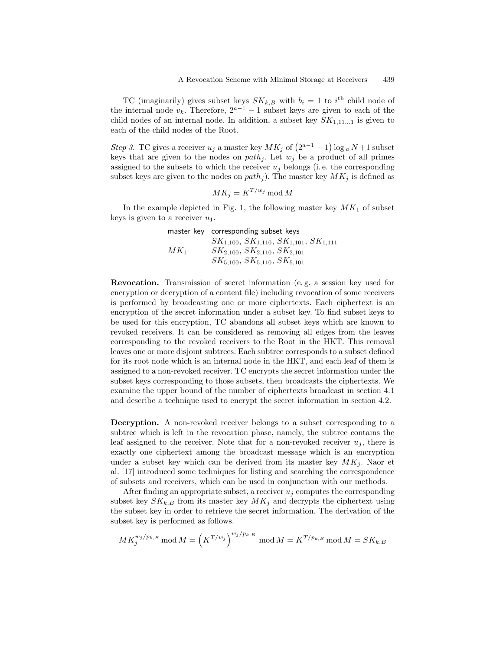TC (imaginarily) gives subset keys  $SK_{k,B}$  with  $b_i = 1$  to  $i^{\text{th}}$  child node of the internal node  $v_k$ . Therefore,  $2^{a-1} - 1$  subset keys are given to each of the child nodes of an internal node. In addition, a subset key  $SK_{1,11...1}$  is given to each of the child nodes of the Root.

Step 3. TC gives a receiver  $u_j$  a master key  $MK_j$  of  $(2^{a-1}-1) \log_a N+1$  subset keys that are given to the nodes on  $path_j$ . Let  $w_j$  be a product of all primes assigned to the subsets to which the receiver  $u_j$  belongs (i.e. the corresponding subset keys are given to the nodes on  $path<sub>i</sub>$ ). The master key  $MK<sub>i</sub>$  is defined as

$$
MK_j = K^{T/w_j} \bmod M
$$

In the example depicted in Fig. 1, the following master key  $MK_1$  of subset keys is given to a receiver  $u_1$ .

|        | master key corresponding subset keys                      |  |  |
|--------|-----------------------------------------------------------|--|--|
|        | $SK_{1,100}$ , $SK_{1,110}$ , $SK_{1,101}$ , $SK_{1,111}$ |  |  |
| $MK_1$ | $SK_{2,100}, SK_{2,110}, SK_{2,101}$                      |  |  |
|        | $SK_{5,100}, SK_{5,110}, SK_{5,101}$                      |  |  |

Revocation. Transmission of secret information (e. g. a session key used for encryption or decryption of a content file) including revocation of some receivers is performed by broadcasting one or more ciphertexts. Each ciphertext is an encryption of the secret information under a subset key. To find subset keys to be used for this encryption, TC abandons all subset keys which are known to revoked receivers. It can be considered as removing all edges from the leaves corresponding to the revoked receivers to the Root in the HKT. This removal leaves one or more disjoint subtrees. Each subtree corresponds to a subset defined for its root node which is an internal node in the HKT, and each leaf of them is assigned to a non-revoked receiver. TC encrypts the secret information under the subset keys corresponding to those subsets, then broadcasts the ciphertexts. We examine the upper bound of the number of ciphertexts broadcast in section 4.1 and describe a technique used to encrypt the secret information in section 4.2.

Decryption. A non-revoked receiver belongs to a subset corresponding to a subtree which is left in the revocation phase, namely, the subtree contains the leaf assigned to the receiver. Note that for a non-revoked receiver  $u_j$ , there is exactly one ciphertext among the broadcast message which is an encryption under a subset key which can be derived from its master key  $MK_i$ . Naor et al. [17] introduced some techniques for listing and searching the correspondence of subsets and receivers, which can be used in conjunction with our methods.

After finding an appropriate subset, a receiver  $u_j$  computes the corresponding subset key  $SK_{k,B}$  from its master key  $MK_j$  and decrypts the ciphertext using the subset key in order to retrieve the secret information. The derivation of the subset key is performed as follows.

$$
MK_j^{w_j/p_{k,B}} \mod M = \left(K^{T/w_j}\right)^{w_j/p_{k,B}} \mod M = K^{T/p_{k,B}} \mod M = SK_{k,B}
$$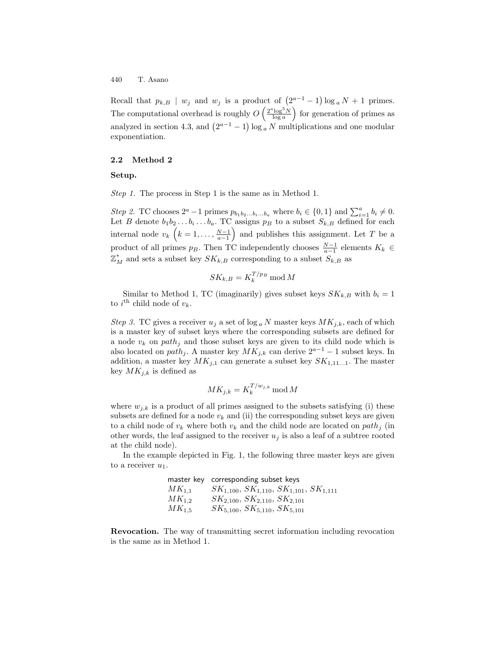Recall that  $p_{k,B} \mid w_j$  and  $w_j$  is a product of  $(2^{a-1}-1) \log_a N + 1$  primes. The computational overhead is roughly  $O\left(\frac{2^a \log^5 N}{\log a}\right)$  for generation of primes as analyzed in section 4.3, and  $(2^{a-1} - 1)$  log <sub>a</sub> N multiplications and one modular exponentiation.

#### 2.2 Method 2

#### Setup.

Step 1. The process in Step 1 is the same as in Method 1.

Step 2. TC chooses  $2^a - 1$  primes  $p_{b_1 b_2 \ldots b_i \ldots b_a}$  where  $b_i \in \{0, 1\}$  and  $\sum_{i=1}^a b_i \neq 0$ . Let B denote  $b_1b_2 \ldots b_i \ldots b_a$ . TC assigns  $p_B$  to a subset  $S_{k,B}$  defined for each internal node  $v_k$   $\left(k=1,\ldots,\frac{N-1}{a-1}\right)$  and publishes this assignment. Let T be a product of all primes  $p_B$ . Then TC independently chooses  $\frac{N-1}{a-1}$  elements  $K_k \in$  $\mathbb{Z}^*_M$  and sets a subset key  $SK_{k,B}$  corresponding to a subset  $S_{k,B}$  as

$$
SK_{k,B} = K_k^{T/p_B} \bmod M
$$

Similar to Method 1, TC (imaginarily) gives subset keys  $SK_{k,B}$  with  $b_i = 1$ to  $i^{\text{th}}$  child node of  $v_k$ .

Step 3. TC gives a receiver  $u_i$  a set of  $\log_a N$  master keys  $MK_{i,k}$ , each of which is a master key of subset keys where the corresponding subsets are defined for a node  $v_k$  on path<sub>j</sub> and those subset keys are given to its child node which is also located on *path<sub>j</sub>*. A master key  $MK_{j,k}$  can derive  $2^{a-1} - 1$  subset keys. In addition, a master key  $MK_{j,1}$  can generate a subset key  $SK_{1,11...1}$ . The master key  $MK_{j,k}$  is defined as

$$
MK_{j,k} = K_k^{T/w_{j,k}} \bmod M
$$

where  $w_{j,k}$  is a product of all primes assigned to the subsets satisfying (i) these subsets are defined for a node  $v_k$  and (ii) the corresponding subset keys are given to a child node of  $v_k$  where both  $v_k$  and the child node are located on path<sub>i</sub> (in other words, the leaf assigned to the receiver  $u_j$  is also a leaf of a subtree rooted at the child node).

In the example depicted in Fig. 1, the following three master keys are given to a receiver  $u_1$ .

|            | master key corresponding subset keys                      |
|------------|-----------------------------------------------------------|
| $MK_{1.1}$ | $SK_{1,100}$ , $SK_{1,110}$ , $SK_{1,101}$ , $SK_{1,111}$ |
| $MK_{1,2}$ | $SK_{2,100}$ , $SK_{2,110}$ , $SK_{2,101}$                |
| $MK_{1.5}$ | $SK_{5,100}, SK_{5,110}, SK_{5,101}$                      |

Revocation. The way of transmitting secret information including revocation is the same as in Method 1.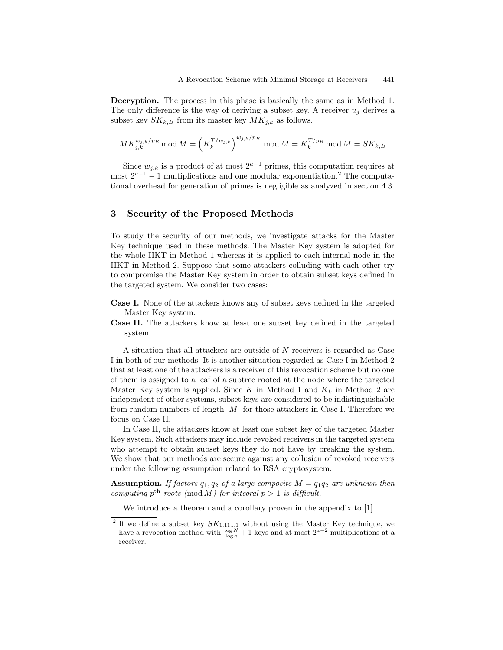Decryption. The process in this phase is basically the same as in Method 1. The only difference is the way of deriving a subset key. A receiver  $u_i$  derives a subset key  $SK_{k,B}$  from its master key  $MK_{j,k}$  as follows.

$$
MK_{j,k}^{w_{j,k}/p_B} \bmod M = \left( K_{k}^{T/w_{j,k}} \right)^{w_{j,k}/p_B} \bmod M = K_{k}^{T/p_B} \bmod M = SK_{k,B}
$$

Since  $w_{j,k}$  is a product of at most  $2^{a-1}$  primes, this computation requires at most  $2^{a-1} - 1$  multiplications and one modular exponentiation.<sup>2</sup> The computational overhead for generation of primes is negligible as analyzed in section 4.3.

# 3 Security of the Proposed Methods

To study the security of our methods, we investigate attacks for the Master Key technique used in these methods. The Master Key system is adopted for the whole HKT in Method 1 whereas it is applied to each internal node in the HKT in Method 2. Suppose that some attackers colluding with each other try to compromise the Master Key system in order to obtain subset keys defined in the targeted system. We consider two cases:

- Case I. None of the attackers knows any of subset keys defined in the targeted Master Key system.
- Case II. The attackers know at least one subset key defined in the targeted system.

A situation that all attackers are outside of N receivers is regarded as Case I in both of our methods. It is another situation regarded as Case I in Method 2 that at least one of the attackers is a receiver of this revocation scheme but no one of them is assigned to a leaf of a subtree rooted at the node where the targeted Master Key system is applied. Since K in Method 1 and  $K_k$  in Method 2 are independent of other systems, subset keys are considered to be indistinguishable from random numbers of length  $|M|$  for those attackers in Case I. Therefore we focus on Case II.

In Case II, the attackers know at least one subset key of the targeted Master Key system. Such attackers may include revoked receivers in the targeted system who attempt to obtain subset keys they do not have by breaking the system. We show that our methods are secure against any collusion of revoked receivers under the following assumption related to RSA cryptosystem.

**Assumption.** If factors  $q_1, q_2$  of a large composite  $M = q_1 q_2$  are unknown then computing  $p^{\text{th}}$  roots (mod M) for integral  $p > 1$  is difficult.

We introduce a theorem and a corollary proven in the appendix to [1].

<sup>&</sup>lt;sup>2</sup> If we define a subset key  $SK_{1,11...1}$  without using the Master Key technique, we have a revocation method with  $\frac{\log N}{\log a} + 1$  keys and at most  $2^{a-2}$  multiplications at a receiver.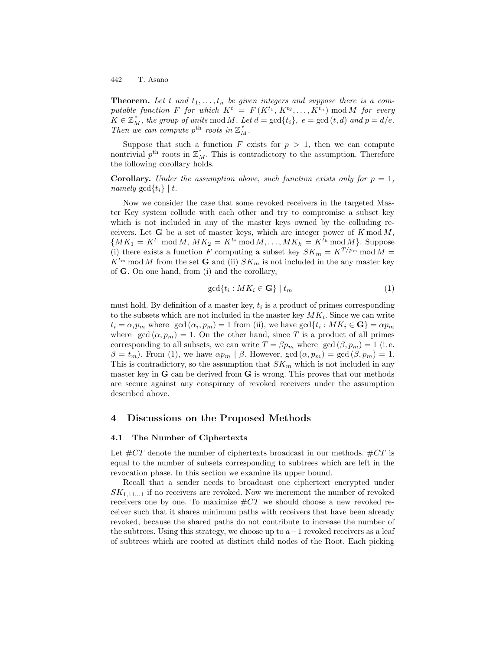**Theorem.** Let t and  $t_1, \ldots, t_n$  be given integers and suppose there is a computable function F for which  $K^t = F(K^{t_1}, K^{t_2}, \ldots, K^{t_n}) \bmod M$  for every  $K \in \mathbb{Z}_M^*$ , the group of units mod M. Let  $d = \gcd\{t_i\}$ ,  $e = \gcd(t, d)$  and  $p = d/e$ . Then we can compute  $p^{\text{th}}$  roots in  $\mathbb{Z}_M^*$ .

Suppose that such a function F exists for  $p > 1$ , then we can compute nontrivial  $p<sup>th</sup>$  roots in  $\mathbb{Z}_M^*$ . This is contradictory to the assumption. Therefore the following corollary holds.

**Corollary.** Under the assumption above, such function exists only for  $p = 1$ , namely  $gcd{t_i}$  | t.

Now we consider the case that some revoked receivers in the targeted Master Key system collude with each other and try to compromise a subset key which is not included in any of the master keys owned by the colluding receivers. Let **G** be a set of master keys, which are integer power of  $K \mod M$ ,  $\{MK_1 = K^{t_1} \mod M, MK_2 = K^{t_2} \mod M, \ldots, MK_k = K^{t_k} \mod M\}$ . Suppose (i) there exists a function F computing a subset key  $SK_m = K^{T/p_m} \mod M =$  $K^{t_m}$  mod M from the set **G** and (ii)  $SK_m$  is not included in the any master key of G. On one hand, from (i) and the corollary,

$$
\gcd\{t_i: MK_i \in \mathbf{G}\} \mid t_m \tag{1}
$$

must hold. By definition of a master key,  $t_i$  is a product of primes corresponding to the subsets which are not included in the master key  $MK_i$ . Since we can write  $t_i = \alpha_i p_m$  where  $\gcd(\alpha_i, p_m) = 1$  from (ii), we have  $\gcd\{t_i : MK_i \in \mathbf{G}\} = \alpha p_m$ where  $\gcd(\alpha, p_m) = 1$ . On the other hand, since T is a product of all primes corresponding to all subsets, we can write  $T = \beta p_m$  where gcd  $(\beta, p_m) = 1$  (i.e.  $\beta = t_m$ ). From (1), we have  $\alpha p_m \mid \beta$ . However, gcd  $(\alpha, p_m) = \text{gcd}(\beta, p_m) = 1$ . This is contradictory, so the assumption that  $SK_m$  which is not included in any master key in  $G$  can be derived from  $G$  is wrong. This proves that our methods are secure against any conspiracy of revoked receivers under the assumption described above.

# 4 Discussions on the Proposed Methods

### 4.1 The Number of Ciphertexts

Let  $\#CT$  denote the number of ciphertexts broadcast in our methods.  $\#CT$  is equal to the number of subsets corresponding to subtrees which are left in the revocation phase. In this section we examine its upper bound.

Recall that a sender needs to broadcast one ciphertext encrypted under  $SK_{1,11...1}$  if no receivers are revoked. Now we increment the number of revoked receivers one by one. To maximize  $\#CT$  we should choose a new revoked receiver such that it shares minimum paths with receivers that have been already revoked, because the shared paths do not contribute to increase the number of the subtrees. Using this strategy, we choose up to  $a-1$  revoked receivers as a leaf of subtrees which are rooted at distinct child nodes of the Root. Each picking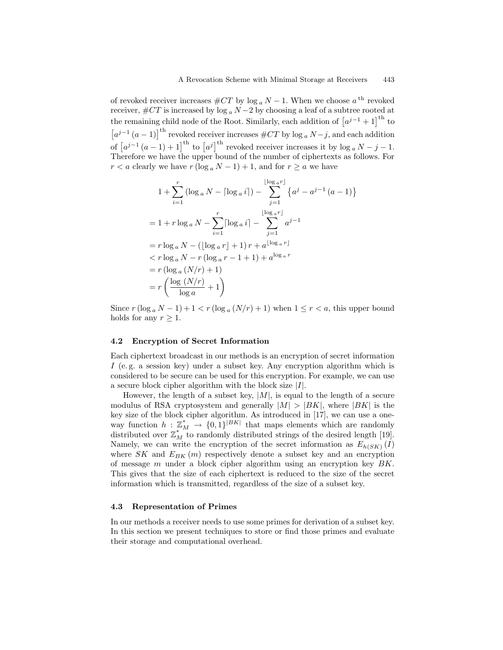of revoked receiver increases  $\#CT$  by  $\log_a N - 1$ . When we choose  $a^{\text{th}}$  revoked receiver,  $\#CT$  is increased by  $\log_a N - 2$  by choosing a leaf of a subtree rooted at the remaining child node of the Root. Similarly, each addition of  $[a^{j-1}+1]$ <sup>th</sup> to  $[a^{j-1}(a-1)]^{\text{th}}$  revoked receiver increases  $\#CT$  by log  ${}_a N-j$ , and each addition of  $[a^{j-1}(a-1)+1]$ <sup>th</sup> to  $[a^j]$ <sup>th</sup> revoked receiver increases it by  $\log_a N - j - 1$ . Therefore we have the upper bound of the number of ciphertexts as follows. For  $r < a$  clearly we have  $r (\log_a N - 1) + 1$ , and for  $r \ge a$  we have

$$
1 + \sum_{i=1}^{r} (\log_a N - \lceil \log_a i \rceil) - \sum_{j=1}^{\lfloor \log_a r \rfloor} \{a^j - a^{j-1} (a-1)\}
$$
  
=  $1 + r \log_a N - \sum_{i=1}^{r} \lceil \log_a i \rceil - \sum_{j=1}^{\lfloor \log_a r \rfloor} a^{j-1}$   
=  $r \log_a N - (\lfloor \log_a r \rfloor + 1) r + a^{\lfloor \log_a r \rfloor}$   
<  $r \log_a N - r (\log_a r - 1 + 1) + a^{\log_a r}$   
=  $r (\log_a (N/r) + 1)$   
=  $r \left( \frac{\log (N/r)}{\log a} + 1 \right)$ 

Since  $r (\log_a N - 1) + 1 < r (\log_a (N/r) + 1)$  when  $1 \le r < a$ , this upper bound holds for any  $r > 1$ .

## 4.2 Encryption of Secret Information

Each ciphertext broadcast in our methods is an encryption of secret information I (e. g. a session key) under a subset key. Any encryption algorithm which is considered to be secure can be used for this encryption. For example, we can use a secure block cipher algorithm with the block size  $|I|$ .

However, the length of a subset key,  $|M|$ , is equal to the length of a secure modulus of RSA cryptosystem and generally  $|M| > |BK|$ , where  $|BK|$  is the key size of the block cipher algorithm. As introduced in [17], we can use a oneway function  $h: \mathbb{Z}_M^* \to \{0,1\}^{|BK|}$  that maps elements which are randomly distributed over  $\mathbb{Z}_M^*$  to randomly distributed strings of the desired length [19]. Namely, we can write the encryption of the secret information as  $E_{h(SK)}(I)$ where SK and  $E_{BK}(m)$  respectively denote a subset key and an encryption of message m under a block cipher algorithm using an encryption key BK. This gives that the size of each ciphertext is reduced to the size of the secret information which is transmitted, regardless of the size of a subset key.

#### 4.3 Representation of Primes

In our methods a receiver needs to use some primes for derivation of a subset key. In this section we present techniques to store or find those primes and evaluate their storage and computational overhead.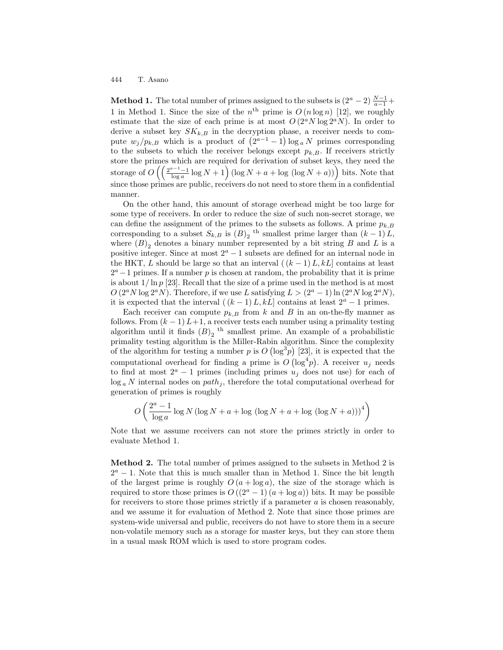**Method 1.** The total number of primes assigned to the subsets is  $(2^a - 2) \frac{N-1}{a-1} +$ 1 in Method 1. Since the size of the  $n<sup>th</sup>$  prime is  $O(n \log n)$  [12], we roughly estimate that the size of each prime is at most  $O(2^a N \log 2^a N)$ . In order to derive a subset key  $SK_{k,B}$  in the decryption phase, a receiver needs to compute  $w_j/p_{k,B}$  which is a product of  $(2^{a-1}-1)\log_a N$  primes corresponding to the subsets to which the receiver belongs except  $p_{k,B}$ . If receivers strictly store the primes which are required for derivation of subset keys, they need the storage of  $O\left(\left(\frac{2^{a-1}-1}{\log a}\log N+1\right)(\log N+a+\log\left(\log N+a\right)\right)\right)$  bits. Note that since those primes are public, receivers do not need to store them in a confidential manner.

On the other hand, this amount of storage overhead might be too large for some type of receivers. In order to reduce the size of such non-secret storage, we can define the assignment of the primes to the subsets as follows. A prime  $p_{k,B}$ corresponding to a subset  $S_{k,B}$  is  $(B)_2$ <sup>th</sup> smallest prime larger than  $(k-1)L$ , where  $(B)_2$  denotes a binary number represented by a bit string B and L is a positive integer. Since at most  $2^a - 1$  subsets are defined for an internal node in the HKT, L should be large so that an interval  $((k-1)L, kL]$  contains at least  $2^a - 1$  primes. If a number p is chosen at random, the probability that it is prime is about  $1/\ln p$  [23]. Recall that the size of a prime used in the method is at most  $O(2^a N \log 2^a N)$ . Therefore, if we use L satisfying  $L > (2^a - 1) \ln (2^a N \log 2^a N)$ , it is expected that the interval  $((k-1)L, kL]$  contains at least  $2^a - 1$  primes.

Each receiver can compute  $p_{k,B}$  from k and B in an on-the-fly manner as follows. From  $(k - 1)L + 1$ , a receiver tests each number using a primality testing algorithm until it finds  $(B)_2$ <sup>th</sup> smallest prime. An example of a probabilistic primality testing algorithm is the Miller-Rabin algorithm. Since the complexity of the algorithm for testing a number p is  $O(\log^3 p)$  [23], it is expected that the computational overhead for finding a prime is  $O(\log^4 p)$ . A receiver  $u_j$  needs to find at most  $2^a - 1$  primes (including primes  $u_j$  does not use) for each of  $\log_a N$  internal nodes on path<sub>j</sub>, therefore the total computational overhead for generation of primes is roughly

$$
O\left(\frac{2^a - 1}{\log a} \log N \left(\log N + a + \log\left(\log N + a + \log\left(\log N + a\right)\right)\right)^4\right)
$$

Note that we assume receivers can not store the primes strictly in order to evaluate Method 1.

Method 2. The total number of primes assigned to the subsets in Method 2 is  $2^a - 1$ . Note that this is much smaller than in Method 1. Since the bit length of the largest prime is roughly  $O(a + \log a)$ , the size of the storage which is required to store those primes is  $O((2^a-1)(a + \log a))$  bits. It may be possible for receivers to store those primes strictly if a parameter  $a$  is chosen reasonably, and we assume it for evaluation of Method 2. Note that since those primes are system-wide universal and public, receivers do not have to store them in a secure non-volatile memory such as a storage for master keys, but they can store them in a usual mask ROM which is used to store program codes.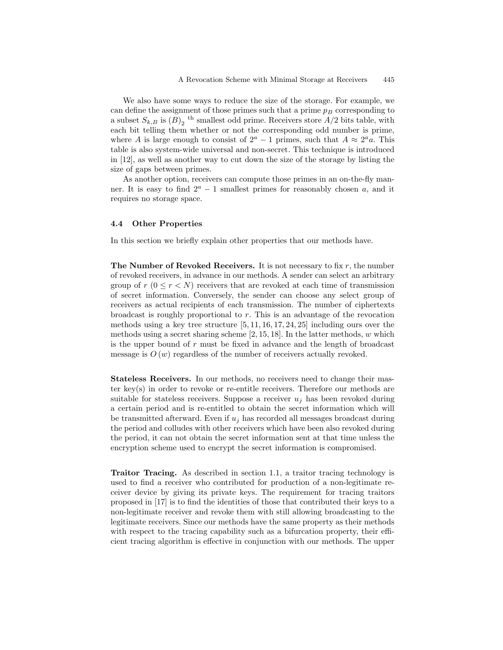We also have some ways to reduce the size of the storage. For example, we can define the assignment of those primes such that a prime  $p_B$  corresponding to a subset  $S_{k,B}$  is  $(B)_2$ <sup>th</sup> smallest odd prime. Receivers store  $A/2$  bits table, with each bit telling them whether or not the corresponding odd number is prime, where A is large enough to consist of  $2^a - 1$  primes, such that  $A \approx 2^a a$ . This table is also system-wide universal and non-secret. This technique is introduced in [12], as well as another way to cut down the size of the storage by listing the size of gaps between primes.

As another option, receivers can compute those primes in an on-the-fly manner. It is easy to find  $2^a - 1$  smallest primes for reasonably chosen a, and it requires no storage space.

### 4.4 Other Properties

In this section we briefly explain other properties that our methods have.

The Number of Revoked Receivers. It is not necessary to fix  $r$ , the number of revoked receivers, in advance in our methods. A sender can select an arbitrary group of  $r (0 \le r \le N)$  receivers that are revoked at each time of transmission of secret information. Conversely, the sender can choose any select group of receivers as actual recipients of each transmission. The number of ciphertexts broadcast is roughly proportional to r. This is an advantage of the revocation methods using a key tree structure  $[5, 11, 16, 17, 24, 25]$  including ours over the methods using a secret sharing scheme  $[2, 15, 18]$ . In the latter methods, w which is the upper bound of r must be fixed in advance and the length of broadcast message is  $O(w)$  regardless of the number of receivers actually revoked.

Stateless Receivers. In our methods, no receivers need to change their master key(s) in order to revoke or re-entitle receivers. Therefore our methods are suitable for stateless receivers. Suppose a receiver  $u_j$  has been revoked during a certain period and is re-entitled to obtain the secret information which will be transmitted afterward. Even if  $u_j$  has recorded all messages broadcast during the period and colludes with other receivers which have been also revoked during the period, it can not obtain the secret information sent at that time unless the encryption scheme used to encrypt the secret information is compromised.

Traitor Tracing. As described in section 1.1, a traitor tracing technology is used to find a receiver who contributed for production of a non-legitimate receiver device by giving its private keys. The requirement for tracing traitors proposed in [17] is to find the identities of those that contributed their keys to a non-legitimate receiver and revoke them with still allowing broadcasting to the legitimate receivers. Since our methods have the same property as their methods with respect to the tracing capability such as a bifurcation property, their efficient tracing algorithm is effective in conjunction with our methods. The upper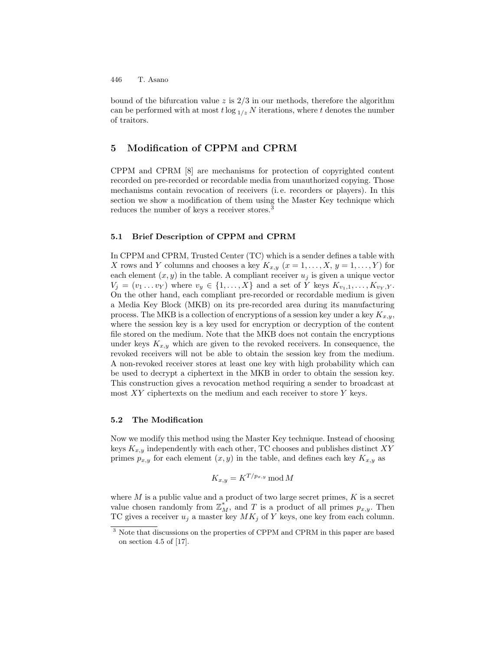bound of the bifurcation value z is  $2/3$  in our methods, therefore the algorithm can be performed with at most  $t \log_{1/z} N$  iterations, where t denotes the number of traitors.

# 5 Modification of CPPM and CPRM

CPPM and CPRM [8] are mechanisms for protection of copyrighted content recorded on pre-recorded or recordable media from unauthorized copying. Those mechanisms contain revocation of receivers (i. e. recorders or players). In this section we show a modification of them using the Master Key technique which reduces the number of keys a receiver stores.<sup>3</sup>

## 5.1 Brief Description of CPPM and CPRM

In CPPM and CPRM, Trusted Center (TC) which is a sender defines a table with X rows and Y columns and chooses a key  $K_{x,y}$   $(x = 1, \ldots, X, y = 1, \ldots, Y)$  for each element  $(x, y)$  in the table. A compliant receiver  $u_j$  is given a unique vector  $V_j = (v_1 \dots v_Y)$  where  $v_y \in \{1, \dots, X\}$  and a set of Y keys  $K_{v_1,1}, \dots, K_{v_Y,Y}$ . On the other hand, each compliant pre-recorded or recordable medium is given a Media Key Block (MKB) on its pre-recorded area during its manufacturing process. The MKB is a collection of encryptions of a session key under a key  $K_{x,y}$ , where the session key is a key used for encryption or decryption of the content file stored on the medium. Note that the MKB does not contain the encryptions under keys  $K_{x,y}$  which are given to the revoked receivers. In consequence, the revoked receivers will not be able to obtain the session key from the medium. A non-revoked receiver stores at least one key with high probability which can be used to decrypt a ciphertext in the MKB in order to obtain the session key. This construction gives a revocation method requiring a sender to broadcast at most  $XY$  ciphertexts on the medium and each receiver to store  $Y$  keys.

# 5.2 The Modification

Now we modify this method using the Master Key technique. Instead of choosing keys  $K_{x,y}$  independently with each other, TC chooses and publishes distinct XY primes  $p_{x,y}$  for each element  $(x, y)$  in the table, and defines each key  $K_{x,y}$  as

$$
K_{x,y} = K^{T/p_{x,y}} \operatorname{mod} M
$$

where  $M$  is a public value and a product of two large secret primes,  $K$  is a secret value chosen randomly from  $\mathbb{Z}_M^*$ , and T is a product of all primes  $p_{x,y}$ . Then TC gives a receiver  $u_j$  a master key  $MK_j$  of Y keys, one key from each column.

<sup>3</sup> Note that discussions on the properties of CPPM and CPRM in this paper are based on section 4.5 of [17].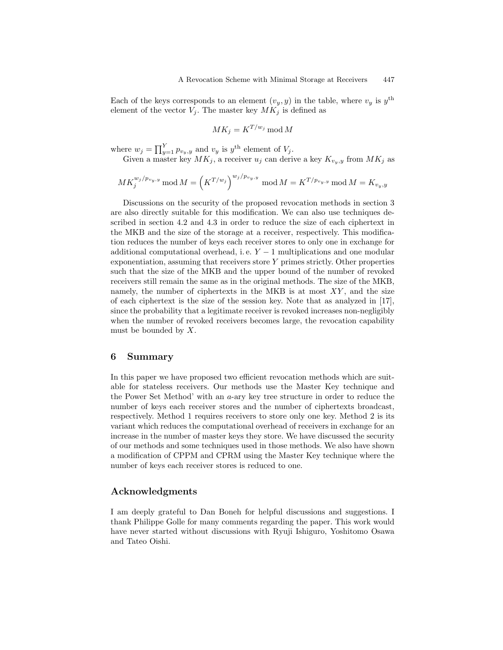Each of the keys corresponds to an element  $(v_y, y)$  in the table, where  $v_y$  is  $y^{\text{th}}$ element of the vector  $V_j$ . The master key  $MK_j$  is defined as

$$
MK_j = K^{T/w_j} \bmod M
$$

where  $w_j = \prod_{y=1}^{Y} p_{v_y, y}$  and  $v_y$  is  $y^{\text{th}}$  element of  $V_j$ .

Given a master key 
$$
MK_j
$$
, a receiver  $u_j$  can derive a key  $K_{v_y,y}$  from  $MK_j$  as

$$
MK_j^{w_j/p_{v_y,y}} \mod M = \left(K^{T/w_j}\right)^{w_j/p_{v_y,y}} \mod M = K^{T/p_{v_y,y}} \mod M = K_{v_y,y}
$$

Discussions on the security of the proposed revocation methods in section 3 are also directly suitable for this modification. We can also use techniques described in section 4.2 and 4.3 in order to reduce the size of each ciphertext in the MKB and the size of the storage at a receiver, respectively. This modification reduces the number of keys each receiver stores to only one in exchange for additional computational overhead, i.e.  $Y - 1$  multiplications and one modular exponentiation, assuming that receivers store Y primes strictly. Other properties such that the size of the MKB and the upper bound of the number of revoked receivers still remain the same as in the original methods. The size of the MKB, namely, the number of ciphertexts in the MKB is at most  $XY$ , and the size of each ciphertext is the size of the session key. Note that as analyzed in [17], since the probability that a legitimate receiver is revoked increases non-negligibly when the number of revoked receivers becomes large, the revocation capability must be bounded by X.

# 6 Summary

In this paper we have proposed two efficient revocation methods which are suitable for stateless receivers. Our methods use the Master Key technique and the Power Set Method' with an a-ary key tree structure in order to reduce the number of keys each receiver stores and the number of ciphertexts broadcast, respectively. Method 1 requires receivers to store only one key. Method 2 is its variant which reduces the computational overhead of receivers in exchange for an increase in the number of master keys they store. We have discussed the security of our methods and some techniques used in those methods. We also have shown a modification of CPPM and CPRM using the Master Key technique where the number of keys each receiver stores is reduced to one.

# Acknowledgments

I am deeply grateful to Dan Boneh for helpful discussions and suggestions. I thank Philippe Golle for many comments regarding the paper. This work would have never started without discussions with Ryuji Ishiguro, Yoshitomo Osawa and Tateo Oishi.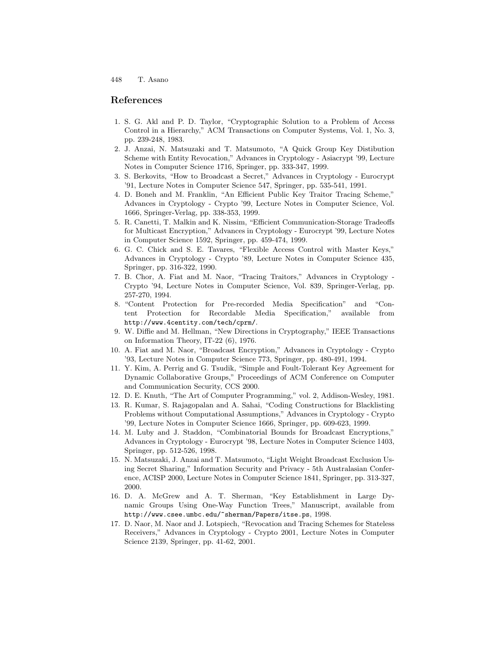### References

- 1. S. G. Akl and P. D. Taylor, "Cryptographic Solution to a Problem of Access Control in a Hierarchy," ACM Transactions on Computer Systems, Vol. 1, No. 3, pp. 239-248, 1983.
- 2. J. Anzai, N. Matsuzaki and T. Matsumoto, "A Quick Group Key Distibution Scheme with Entity Revocation," Advances in Cryptology - Asiacrypt '99, Lecture Notes in Computer Science 1716, Springer, pp. 333-347, 1999.
- 3. S. Berkovits, "How to Broadcast a Secret," Advances in Cryptology Eurocrypt '91, Lecture Notes in Computer Science 547, Springer, pp. 535-541, 1991.
- 4. D. Boneh and M. Franklin, "An Efficient Public Key Traitor Tracing Scheme," Advances in Cryptology - Crypto '99, Lecture Notes in Computer Science, Vol. 1666, Springer-Verlag, pp. 338-353, 1999.
- 5. R. Canetti, T. Malkin and K. Nissim, "Efficient Communication-Storage Tradeoffs for Multicast Encryption," Advances in Cryptology - Eurocrypt '99, Lecture Notes in Computer Science 1592, Springer, pp. 459-474, 1999.
- 6. G. C. Chick and S. E. Tavares, "Flexible Access Control with Master Keys," Advances in Cryptology - Crypto '89, Lecture Notes in Computer Science 435, Springer, pp. 316-322, 1990.
- 7. B. Chor, A. Fiat and M. Naor, "Tracing Traitors," Advances in Cryptology Crypto '94, Lecture Notes in Computer Science, Vol. 839, Springer-Verlag, pp. 257-270, 1994.
- 8. "Content Protection for Pre-recorded Media Specification" and "Content Protection for Recordable Media Specification," available from http://www.4centity.com/tech/cprm/.
- 9. W. Diffie and M. Hellman, "New Directions in Cryptography," IEEE Transactions on Information Theory, IT-22 (6), 1976.
- 10. A. Fiat and M. Naor, "Broadcast Encryption," Advances in Cryptology Crypto '93, Lecture Notes in Computer Science 773, Springer, pp. 480-491, 1994.
- 11. Y. Kim, A. Perrig and G. Tsudik, "Simple and Foult-Tolerant Key Agreement for Dynamic Collaborative Groups," Proceedings of ACM Conference on Computer and Communication Security, CCS 2000.
- 12. D. E. Knuth, "The Art of Computer Programming," vol. 2, Addison-Wesley, 1981.
- 13. R. Kumar, S. Rajagopalan and A. Sahai, "Coding Constructions for Blacklisting Problems without Computational Assumptions," Advances in Cryptology - Crypto '99, Lecture Notes in Computer Science 1666, Springer, pp. 609-623, 1999.
- 14. M. Luby and J. Staddon, "Combinatorial Bounds for Broadcast Encryptions," Advances in Cryptology - Eurocrypt '98, Lecture Notes in Computer Science 1403, Springer, pp. 512-526, 1998.
- 15. N. Matsuzaki, J. Anzai and T. Matsumoto, "Light Weight Broadcast Exclusion Using Secret Sharing," Information Security and Privacy - 5th Australasian Conference, ACISP 2000, Lecture Notes in Computer Science 1841, Springer, pp. 313-327, 2000.
- 16. D. A. McGrew and A. T. Sherman, "Key Establishment in Large Dynamic Groups Using One-Way Function Trees," Manuscript, available from http://www.csee.umbc.edu/~sherman/Papers/itse.ps, 1998.
- 17. D. Naor, M. Naor and J. Lotspiech, "Revocation and Tracing Schemes for Stateless Receivers," Advances in Cryptology - Crypto 2001, Lecture Notes in Computer Science 2139, Springer, pp. 41-62, 2001.